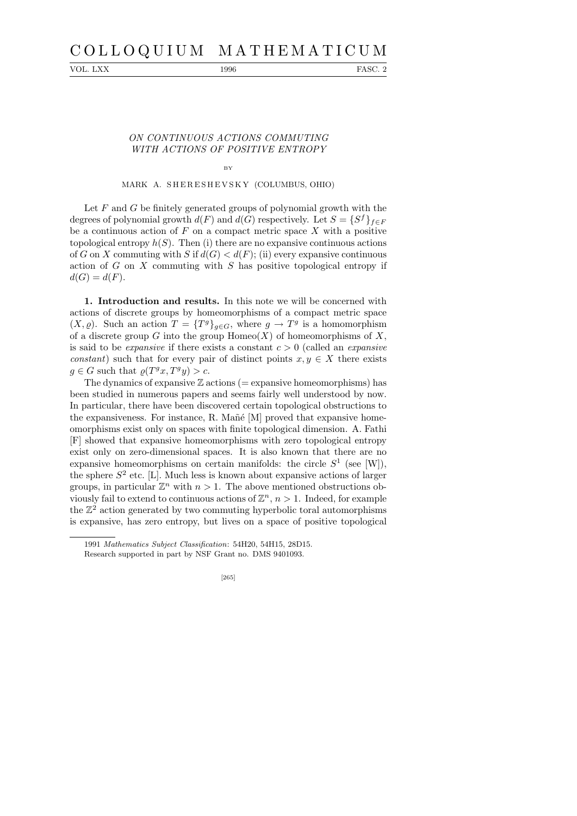# C O L L O Q U I U M M A T H E M A T I C U M

VOL. LXX 1996 FASC. 2

## ON CONTINUOUS ACTIONS COMMUTING WITH ACTIONS OF POSITIVE ENTROPY

BY

## MARK A. SHERESHEVSKY (COLUMBUS, OHIO)

Let  $F$  and  $G$  be finitely generated groups of polynomial growth with the degrees of polynomial growth  $d(F)$  and  $d(G)$  respectively. Let  $S = \{S^f\}_{f \in F}$ be a continuous action of  $F$  on a compact metric space  $X$  with a positive topological entropy  $h(S)$ . Then (i) there are no expansive continuous actions of G on X commuting with S if  $d(G) < d(F)$ ; (ii) every expansive continuous action of  $G$  on  $X$  commuting with  $S$  has positive topological entropy if  $d(G) = d(F)$ .

1. Introduction and results. In this note we will be concerned with actions of discrete groups by homeomorphisms of a compact metric space  $(X, \varrho)$ . Such an action  $T = \{T^g\}_{g \in G}$ , where  $g \to T^g$  is a homomorphism of a discrete group G into the group  $\text{Homeo}(X)$  of homeomorphisms of X, is said to be *expansive* if there exists a constant  $c > 0$  (called an *expansive* constant) such that for every pair of distinct points  $x, y \in X$  there exists  $g \in G$  such that  $\varrho(T^gx, T^gy) > c$ .

The dynamics of expansive  $\mathbb Z$  actions (= expansive homeomorphisms) has been studied in numerous papers and seems fairly well understood by now. In particular, there have been discovered certain topological obstructions to the expansiveness. For instance, R. Mañé  $[M]$  proved that expansive homeomorphisms exist only on spaces with finite topological dimension. A. Fathi [F] showed that expansive homeomorphisms with zero topological entropy exist only on zero-dimensional spaces. It is also known that there are no expansive homeomorphisms on certain manifolds: the circle  $S^1$  (see [W]), the sphere  $S^2$  etc. [L]. Much less is known about expansive actions of larger groups, in particular  $\mathbb{Z}^n$  with  $n > 1$ . The above mentioned obstructions obviously fail to extend to continuous actions of  $\mathbb{Z}^n$ ,  $n > 1$ . Indeed, for example the  $\mathbb{Z}^2$  action generated by two commuting hyperbolic toral automorphisms is expansive, has zero entropy, but lives on a space of positive topological

<sup>1991</sup> *Mathematics Subject Classification*: 54H20, 54H15, 28D15.

Research supported in part by NSF Grant no. DMS 9401093.

<sup>[265]</sup>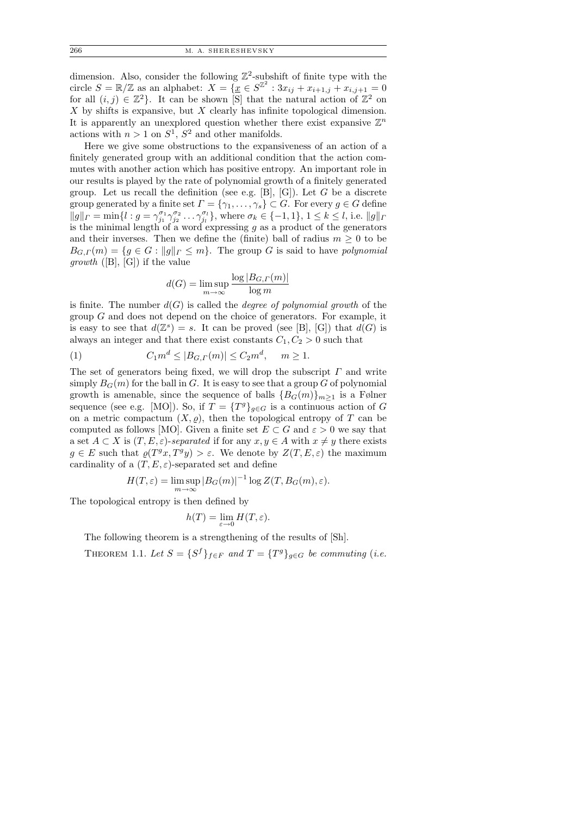dimension. Also, consider the following  $\mathbb{Z}^2$ -subshift of finite type with the circle  $S = \mathbb{R}/\mathbb{Z}$  as an alphabet:  $X = \{ \underline{x} \in S^{\mathbb{Z}^2} : 3x_{ij} + x_{i+1,j} + x_{i,j+1} = 0 \}$ for all  $(i, j) \in \mathbb{Z}^2$ . It can be shown [S] that the natural action of  $\mathbb{Z}^2$  on  $X$  by shifts is expansive, but  $X$  clearly has infinite topological dimension. It is apparently an unexplored question whether there exist expansive  $\mathbb{Z}^n$ actions with  $n > 1$  on  $S^1$ ,  $S^2$  and other manifolds.

Here we give some obstructions to the expansiveness of an action of a finitely generated group with an additional condition that the action commutes with another action which has positive entropy. An important role in our results is played by the rate of polynomial growth of a finitely generated group. Let us recall the definition (see e.g.  $[B], [G]$ ). Let G be a discrete group generated by a finite set  $\Gamma = \{ \gamma_1, \ldots, \gamma_s \} \subset G$ . For every  $g \in G$  define  $||g||_F = \min\{l : g = \gamma_{j_1}^{\sigma_1} \gamma_{j_2}^{\sigma_2} \dots \gamma_{j_l}^{\sigma_l}\},\$  where  $\sigma_k \in \{-1,1\}, 1 \leq k \leq l,\$  i.e.  $||g||_F$ is the minimal length of a word expressing  $g$  as a product of the generators and their inverses. Then we define the (finite) ball of radius  $m \geq 0$  to be  $B_{G,\Gamma}(m) = \{g \in G : ||g||_{\Gamma} \leq m\}.$  The group G is said to have polynomial *growth* ([B], [G]) if the value

$$
d(G) = \limsup_{m \to \infty} \frac{\log |B_{G,\Gamma}(m)|}{\log m}
$$

is finite. The number  $d(G)$  is called the *degree of polynomial growth* of the group  $G$  and does not depend on the choice of generators. For example, it is easy to see that  $d(\mathbb{Z}^s) = s$ . It can be proved (see [B], [G]) that  $d(G)$  is always an integer and that there exist constants  $C_1, C_2 > 0$  such that

(1) 
$$
C_1 m^d \le |B_{G,\Gamma}(m)| \le C_2 m^d, \quad m \ge 1.
$$

The set of generators being fixed, we will drop the subscript  $\Gamma$  and write simply  $B_G(m)$  for the ball in G. It is easy to see that a group G of polynomial growth is amenable, since the sequence of balls  ${B_G(m)}_{m>1}$  is a Følner sequence (see e.g. [MO]). So, if  $T = \{T^g\}_{g \in G}$  is a continuous action of G on a metric compactum  $(X, \varrho)$ , then the topological entropy of T can be computed as follows [MO]. Given a finite set  $E \subset G$  and  $\varepsilon > 0$  we say that a set  $A \subset X$  is  $(T, E, \varepsilon)$ -separated if for any  $x, y \in A$  with  $x \neq y$  there exists  $g \in E$  such that  $\varrho(T^gx, T^gy) > \varepsilon$ . We denote by  $Z(T, E, \varepsilon)$  the maximum cardinality of a  $(T, E, \varepsilon)$ -separated set and define

$$
H(T,\varepsilon) = \limsup_{m \to \infty} |B_G(m)|^{-1} \log Z(T, B_G(m), \varepsilon).
$$

The topological entropy is then defined by

$$
h(T) = \lim_{\varepsilon \to 0} H(T, \varepsilon).
$$

The following theorem is a strengthening of the results of [Sh].

THEOREM 1.1. Let  $S = \{S^f\}_{f \in F}$  and  $T = \{T^g\}_{g \in G}$  be commuting (i.e.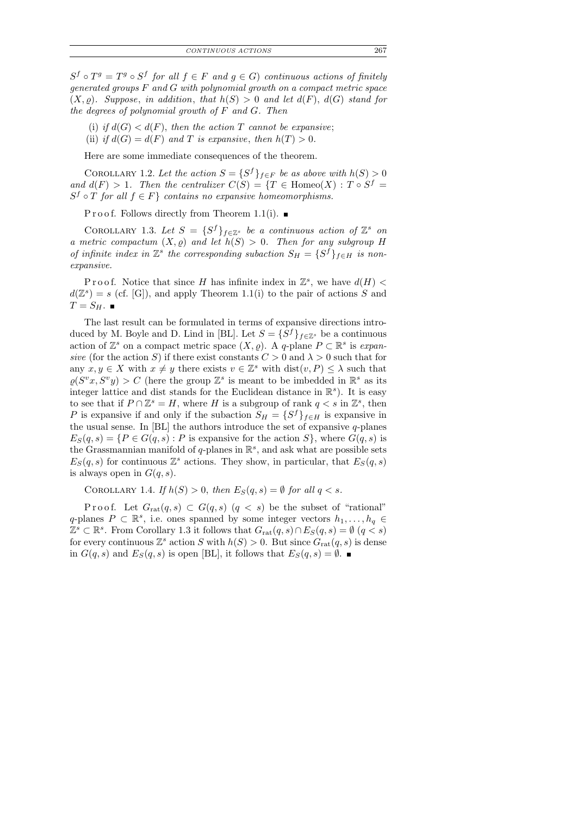$S^f \circ T^g = T^g \circ S^f$  for all  $f \in F$  and  $g \in G$ ) continuous actions of finitely generated groups F and G with polynomial growth on a compact metric space  $(X, \rho)$ . Suppose, in addition, that  $h(S) > 0$  and let  $d(F)$ ,  $d(G)$  stand for the degrees of polynomial growth of  $F$  and  $G$ . Then

- (i) if  $d(G) < d(F)$ , then the action T cannot be expansive;
- (ii) if  $d(G) = d(F)$  and T is expansive, then  $h(T) > 0$ .

Here are some immediate consequences of the theorem.

COROLLARY 1.2. Let the action  $S = \{S^f\}_{f \in F}$  be as above with  $h(S) > 0$ and  $d(F) > 1$ . Then the centralizer  $C(S) = \{T \in \text{Homeo}(X) : T \circ S^f =$  $S^f \circ T$  for all  $f \in F$  contains no expansive homeomorphisms.

P r o o f. Follows directly from Theorem 1.1(i).

COROLLARY 1.3. Let  $S = \{S^f\}_{f \in \mathbb{Z}^s}$  be a continuous action of  $\mathbb{Z}^s$  on a metric compactum  $(X, \varrho)$  and let  $h(S) > 0$ . Then for any subgroup H of infinite index in  $\mathbb{Z}^s$  the corresponding subaction  $S_H = \{S^f\}_{f \in H}$  is nonexpansive.

Proof. Notice that since H has infinite index in  $\mathbb{Z}^s$ , we have  $d(H)$  <  $d(\mathbb{Z}^s) = s$  (cf. [G]), and apply Theorem 1.1(i) to the pair of actions S and  $T = S_H$ .

The last result can be formulated in terms of expansive directions introduced by M. Boyle and D. Lind in [BL]. Let  $S = \{S^f\}_{f \in \mathbb{Z}^s}$  be a continuous action of  $\mathbb{Z}^s$  on a compact metric space  $(X, \varrho)$ . A q-plane  $P \subset \mathbb{R}^s$  is expansive (for the action S) if there exist constants  $C > 0$  and  $\lambda > 0$  such that for any  $x, y \in X$  with  $x \neq y$  there exists  $v \in \mathbb{Z}^s$  with  $dist(v, P) \leq \lambda$  such that  $\rho(S^v x, S^v y) > C$  (here the group  $\mathbb{Z}^s$  is meant to be imbedded in  $\mathbb{R}^s$  as its integer lattice and dist stands for the Euclidean distance in  $\mathbb{R}^s$ ). It is easy to see that if  $P \cap \mathbb{Z}^s = H$ , where H is a subgroup of rank  $q < s$  in  $\mathbb{Z}^s$ , then P is expansive if and only if the subaction  $S_H = \{S^f\}_{f \in H}$  is expansive in the usual sense. In  $[BL]$  the authors introduce the set of expansive q-planes  $E_S(q, s) = \{P \in G(q, s) : P \text{ is expensive for the action } S\}, \text{ where } G(q, s) \text{ is}$ the Grassmannian manifold of q-planes in  $\mathbb{R}^s$ , and ask what are possible sets  $E_S(q, s)$  for continuous  $\mathbb{Z}^s$  actions. They show, in particular, that  $E_S(q, s)$ is always open in  $G(q, s)$ .

COROLLARY 1.4. If  $h(S) > 0$ , then  $E_S(q, s) = \emptyset$  for all  $q < s$ .

Proof. Let  $G_{rat}(q, s) \subset G(q, s)$   $(q < s)$  be the subset of "rational" q-planes  $P \subset \mathbb{R}^s$ , i.e. ones spanned by some integer vectors  $h_1, \ldots, h_q \in$  $\mathbb{Z}^s \subset \mathbb{R}^s$ . From Corollary 1.3 it follows that  $G_{rat}(q, s) \cap E_S(q, s) = \emptyset$   $(q < s)$ for every continuous  $\mathbb{Z}^s$  action S with  $h(S) > 0$ . But since  $G_{rat}(q, s)$  is dense in  $G(q, s)$  and  $E_S(q, s)$  is open [BL], it follows that  $E_S(q, s) = \emptyset$ .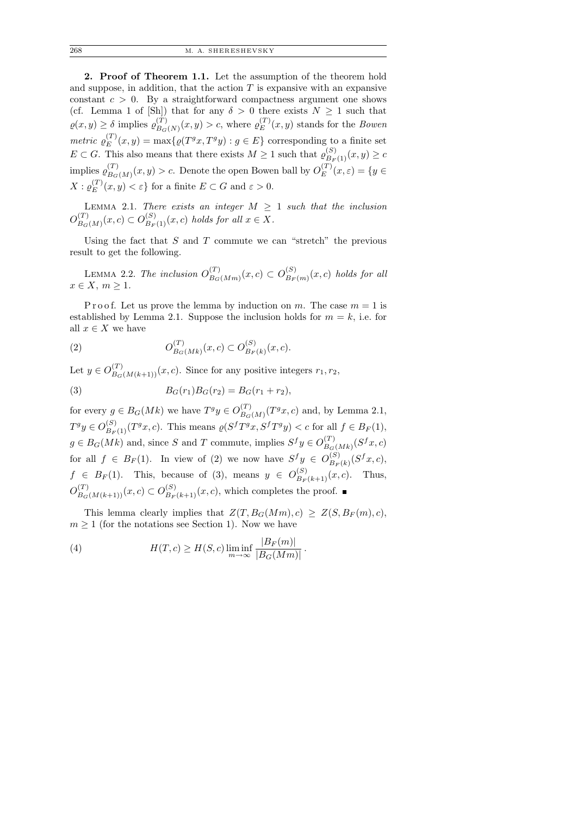2. Proof of Theorem 1.1. Let the assumption of the theorem hold and suppose, in addition, that the action  $T$  is expansive with an expansive constant  $c > 0$ . By a straightforward compactness argument one shows (cf. Lemma 1 of [Sh]) that for any  $\delta > 0$  there exists  $N \geq 1$  such that  $\rho(x, y) \geq \delta$  implies  $\rho_{B_G}^{(T)}$  $_{B_G(N)}^{(T)}(x,y) > c$ , where  $\varrho_E^{(T)}$  $E^{(1)}(x,y)$  stands for the *Bowen* metric  $\varrho_{E}^{(T)}$  $E_E^{(T)}(x,y) = \max\{ \varrho(T^gx, T^gy) : g \in E \}$  corresponding to a finite set  $E \subset G$ . This also means that there exists  $M \geq 1$  such that  $\varrho_{B_F(1)}^{(S)}(x, y) \geq c$ implies  $\varrho_{B_G}^{(T)}$  $\binom{T}{B_G(M)}(x,y) > c.$  Denote the open Bowen ball by  $O_E^{(T)}$  $E^{(I)}(x,\varepsilon) = \{y \in$  $X: \varrho^{(T)}_E$  $(E^{(I)}(x, y) < \varepsilon$  for a finite  $E \subset G$  and  $\varepsilon > 0$ .

LEMMA 2.1. There exists an integer  $M \geq 1$  such that the inclusion  $O_{B_{\infty}}^{(T)}$  $B_G(N)(x, c) \subset O_{B_F(1)}^{(S)}(x, c)$  holds for all  $x \in X$ .

Using the fact that  $S$  and  $T$  commute we can "stretch" the previous result to get the following.

LEMMA 2.2. The inclusion  $O_{B_G}^{(T)}$  $\binom{T}{B_G(Mm)}(x,c) \subset O_{B_F}^{(S)}$  $\binom{S}{B_F(m)}(x,c)$  holds for all  $x \in X, m \geq 1.$ 

P r o o f. Let us prove the lemma by induction on m. The case  $m = 1$  is established by Lemma 2.1. Suppose the inclusion holds for  $m = k$ , i.e. for all  $x \in X$  we have

(2) 
$$
O_{B_G(Mk)}^{(T)}(x,c) \subset O_{B_F(k)}^{(S)}(x,c).
$$

Let  $y \in O_{B_G(M(k+1))}^{(T)}(x, c)$ . Since for any positive integers  $r_1, r_2$ ,

(3) 
$$
B_G(r_1)B_G(r_2) = B_G(r_1 + r_2),
$$

for every  $g \in B_G(Mk)$  we have  $T^gy \in O_{B_G}^{(T)}$  $\binom{T}{B_G(M)}$   $\binom{T^g x, c}{B_G(M)}$  and, by Lemma 2.1,  $T^gy \in O_{B_F(1)}^{(S)}(T^gx, c)$ . This means  $\varrho(S^f T^gx, S^f T^gy) < c$  for all  $f \in B_F(1)$ ,  $g \in B_G(Mk)$  and, since S and T commute, implies  $S^f y \in O_{B_G}^{(T)}$  $\frac{d^{(T)}}{B_G(Mk)}(S^fx,c)$ for all  $f \in B_F(1)$ . In view of (2) we now have  $S^f y \in O_{B_F}^{(S)}$  $_{B_F(k)}^{(S)}(S^f x, c),$  $f \in B_F(1)$ . This, because of (3), means  $y \in O^{(S)}_{B_F(k+1)}(x, c)$ . Thus,  $O_{B_G(M(k+1))}^{(T)}(x, c) \subset O_{B_F(k+1)}^{(S)}(x, c)$ , which completes the proof.

This lemma clearly implies that  $Z(T, B_G(Mm), c) \geq Z(S, B_F(m), c)$ ,  $m \geq 1$  (for the notations see Section 1). Now we have

(4) 
$$
H(T, c) \ge H(S, c) \liminf_{m \to \infty} \frac{|B_F(m)|}{|B_G(Mm)|}.
$$